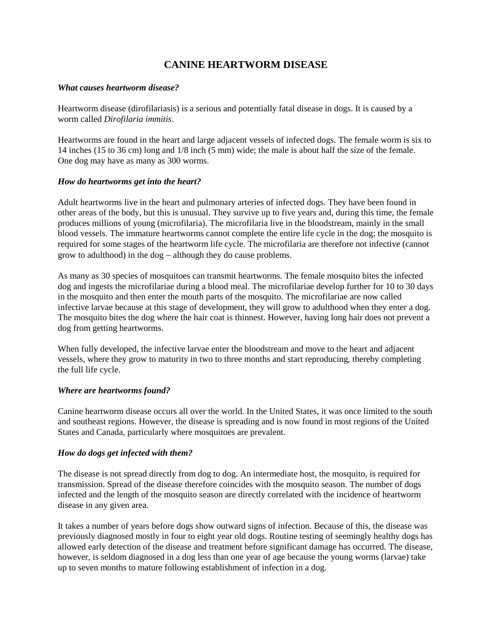# **CANINE HEARTWORM DISEASE**

#### *What causes heartworm disease?*

Heartworm disease (dirofilariasis) is a serious and potentially fatal disease in dogs. It is caused by a worm called *Dirofilaria immitis*.

Heartworms are found in the heart and large adjacent vessels of infected dogs. The female worm is six to 14 inches (15 to 36 cm) long and 1/8 inch (5 mm) wide; the male is about half the size of the female. One dog may have as many as 300 worms.

#### *How do heartworms get into the heart?*

Adult heartworms live in the heart and pulmonary arteries of infected dogs. They have been found in other areas of the body, but this is unusual. They survive up to five years and, during this time, the female produces millions of young (microfilaria). The microfilaria live in the bloodstream, mainly in the small blood vessels. The immature heartworms cannot complete the entire life cycle in the dog; the mosquito is required for some stages of the heartworm life cycle. The microfilaria are therefore not infective (cannot grow to adulthood) in the  $\log -$  although they do cause problems.

As many as 30 species of mosquitoes can transmit heartworms. The female mosquito bites the infected dog and ingests the microfilariae during a blood meal. The microfilariae develop further for 10 to 30 days in the mosquito and then enter the mouth parts of the mosquito. The microfilariae are now called infective larvae because at this stage of development, they will grow to adulthood when they enter a dog. The mosquito bites the dog where the hair coat is thinnest. However, having long hair does not prevent a dog from getting heartworms.

When fully developed, the infective larvae enter the bloodstream and move to the heart and adjacent vessels, where they grow to maturity in two to three months and start reproducing, thereby completing the full life cycle.

#### *Where are heartworms found?*

Canine heartworm disease occurs all over the world. In the United States, it was once limited to the south and southeast regions. However, the disease is spreading and is now found in most regions of the United States and Canada, particularly where mosquitoes are prevalent.

# *How do dogs get infected with them?*

The disease is not spread directly from dog to dog. An intermediate host, the mosquito, is required for transmission. Spread of the disease therefore coincides with the mosquito season. The number of dogs infected and the length of the mosquito season are directly correlated with the incidence of heartworm disease in any given area.

It takes a number of years before dogs show outward signs of infection. Because of this, the disease was previously diagnosed mostly in four to eight year old dogs. Routine testing of seemingly healthy dogs has allowed early detection of the disease and treatment before significant damage has occurred. The disease, however, is seldom diagnosed in a dog less than one year of age because the young worms (larvae) take up to seven months to mature following establishment of infection in a dog.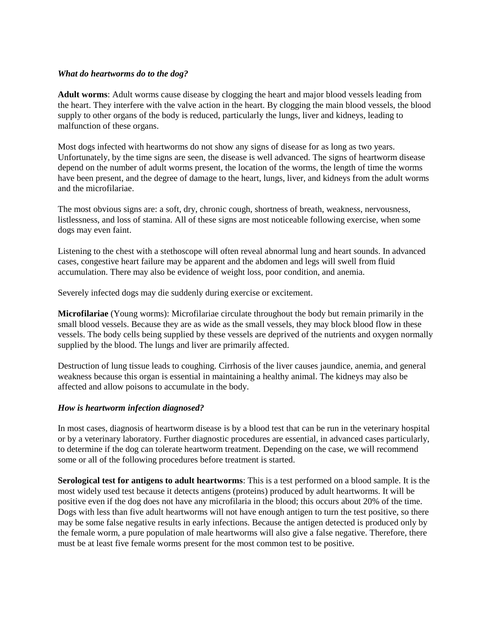#### *What do heartworms do to the dog?*

**Adult worms**: Adult worms cause disease by clogging the heart and major blood vessels leading from the heart. They interfere with the valve action in the heart. By clogging the main blood vessels, the blood supply to other organs of the body is reduced, particularly the lungs, liver and kidneys, leading to malfunction of these organs.

Most dogs infected with heartworms do not show any signs of disease for as long as two years. Unfortunately, by the time signs are seen, the disease is well advanced. The signs of heartworm disease depend on the number of adult worms present, the location of the worms, the length of time the worms have been present, and the degree of damage to the heart, lungs, liver, and kidneys from the adult worms and the microfilariae.

The most obvious signs are: a soft, dry, chronic cough, shortness of breath, weakness, nervousness, listlessness, and loss of stamina. All of these signs are most noticeable following exercise, when some dogs may even faint.

Listening to the chest with a stethoscope will often reveal abnormal lung and heart sounds. In advanced cases, congestive heart failure may be apparent and the abdomen and legs will swell from fluid accumulation. There may also be evidence of weight loss, poor condition, and anemia.

Severely infected dogs may die suddenly during exercise or excitement.

**Microfilariae** (Young worms): Microfilariae circulate throughout the body but remain primarily in the small blood vessels. Because they are as wide as the small vessels, they may block blood flow in these vessels. The body cells being supplied by these vessels are deprived of the nutrients and oxygen normally supplied by the blood. The lungs and liver are primarily affected.

Destruction of lung tissue leads to coughing. Cirrhosis of the liver causes jaundice, anemia, and general weakness because this organ is essential in maintaining a healthy animal. The kidneys may also be affected and allow poisons to accumulate in the body.

# *How is heartworm infection diagnosed?*

In most cases, diagnosis of heartworm disease is by a blood test that can be run in the veterinary hospital or by a veterinary laboratory. Further diagnostic procedures are essential, in advanced cases particularly, to determine if the dog can tolerate heartworm treatment. Depending on the case, we will recommend some or all of the following procedures before treatment is started.

**Serological test for antigens to adult heartworms**: This is a test performed on a blood sample. It is the most widely used test because it detects antigens (proteins) produced by adult heartworms. It will be positive even if the dog does not have any microfilaria in the blood; this occurs about 20% of the time. Dogs with less than five adult heartworms will not have enough antigen to turn the test positive, so there may be some false negative results in early infections. Because the antigen detected is produced only by the female worm, a pure population of male heartworms will also give a false negative. Therefore, there must be at least five female worms present for the most common test to be positive.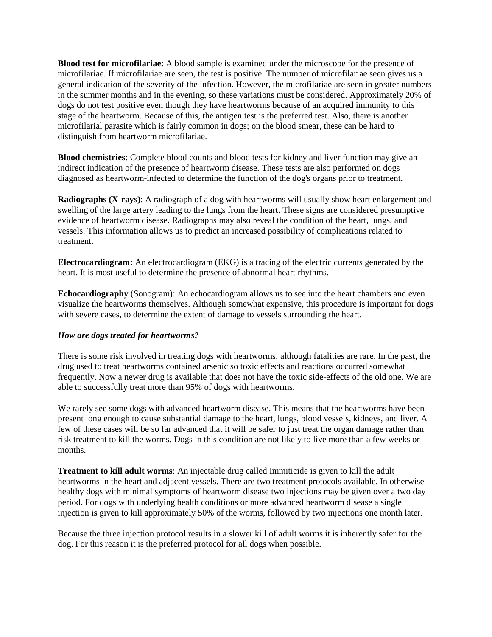**Blood test for microfilariae**: A blood sample is examined under the microscope for the presence of microfilariae. If microfilariae are seen, the test is positive. The number of microfilariae seen gives us a general indication of the severity of the infection. However, the microfilariae are seen in greater numbers in the summer months and in the evening, so these variations must be considered. Approximately 20% of dogs do not test positive even though they have heartworms because of an acquired immunity to this stage of the heartworm. Because of this, the antigen test is the preferred test. Also, there is another microfilarial parasite which is fairly common in dogs; on the blood smear, these can be hard to distinguish from heartworm microfilariae.

**Blood chemistries**: Complete blood counts and blood tests for kidney and liver function may give an indirect indication of the presence of heartworm disease. These tests are also performed on dogs diagnosed as heartworm-infected to determine the function of the dog's organs prior to treatment.

**Radiographs (X-rays)**: A radiograph of a dog with heartworms will usually show heart enlargement and swelling of the large artery leading to the lungs from the heart. These signs are considered presumptive evidence of heartworm disease. Radiographs may also reveal the condition of the heart, lungs, and vessels. This information allows us to predict an increased possibility of complications related to treatment.

**Electrocardiogram:** An electrocardiogram (EKG) is a tracing of the electric currents generated by the heart. It is most useful to determine the presence of abnormal heart rhythms.

**Echocardiography** (Sonogram): An echocardiogram allows us to see into the heart chambers and even visualize the heartworms themselves. Although somewhat expensive, this procedure is important for dogs with severe cases, to determine the extent of damage to vessels surrounding the heart.

# *How are dogs treated for heartworms?*

There is some risk involved in treating dogs with heartworms, although fatalities are rare. In the past, the drug used to treat heartworms contained arsenic so toxic effects and reactions occurred somewhat frequently. Now a newer drug is available that does not have the toxic side-effects of the old one. We are able to successfully treat more than 95% of dogs with heartworms.

We rarely see some dogs with advanced heartworm disease. This means that the heartworms have been present long enough to cause substantial damage to the heart, lungs, blood vessels, kidneys, and liver. A few of these cases will be so far advanced that it will be safer to just treat the organ damage rather than risk treatment to kill the worms. Dogs in this condition are not likely to live more than a few weeks or months.

**Treatment to kill adult worms**: An injectable drug called Immiticide is given to kill the adult heartworms in the heart and adjacent vessels. There are two treatment protocols available. In otherwise healthy dogs with minimal symptoms of heartworm disease two injections may be given over a two day period. For dogs with underlying health conditions or more advanced heartworm disease a single injection is given to kill approximately 50% of the worms, followed by two injections one month later.

Because the three injection protocol results in a slower kill of adult worms it is inherently safer for the dog. For this reason it is the preferred protocol for all dogs when possible.